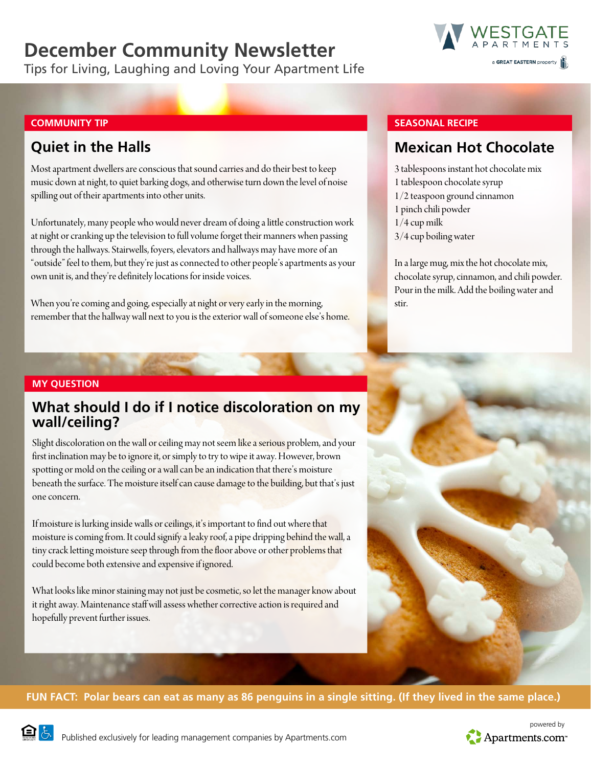# **December Community Newsletter**



Tips for Living, Laughing and Loving Your Apartment Life

#### **COMMUNITY TIP**

## **Quiet in the Halls**

Most apartment dwellers are conscious that sound carries and do their best to keep music down at night, to quiet barking dogs, and otherwise turn down the level of noise spilling out of their apartments into other units.

Unfortunately, many people who would never dream of doing a little construction work at night or cranking up the television to full volume forget their manners when passing through the hallways. Stairwells, foyers, elevators and hallways may have more of an "outside" feel to them, but they're just as connected to other people's apartments as your own unit is, and they're definitely locations for inside voices.

When you're coming and going, especially at night or very early in the morning, remember that the hallway wall next to you is the exterior wall of someone else's home.

#### **MY QUESTION**

## **What should I do if I notice discoloration on my wall/ceiling?**

Slight discoloration on the wall or ceiling may not seem like a serious problem, and your first inclination may be to ignore it, or simply to try to wipe it away. However, brown spotting or mold on the ceiling or a wall can be an indication that there's moisture beneath the surface. The moisture itself can cause damage to the building, but that's just one concern.

If moisture is lurking inside walls or ceilings, it's important to find out where that moisture is coming from. It could signify a leaky roof, a pipe dripping behind the wall, a tiny crack letting moisture seep through from the floor above or other problems that could become both extensive and expensive if ignored.

What looks like minor staining may not just be cosmetic, so let the manager know about it right away. Maintenance staff will assess whether corrective action is required and hopefully prevent further issues.

#### **SEASONAL RECIPE**

## **Mexican Hot Chocolate**

3 tablespoons instant hot chocolate mix 1 tablespoon chocolate syrup 1/2 teaspoon ground cinnamon 1 pinch chili powder 1/4 cup milk 3/4 cup boiling water

In a large mug, mix the hot chocolate mix, chocolate syrup, cinnamon, and chili powder. Pour in the milk. Add the boiling water and stir.



#### **FUN FACT: Polar bears can eat as many as 86 penguins in a single sitting. (If they lived in the same place.)**